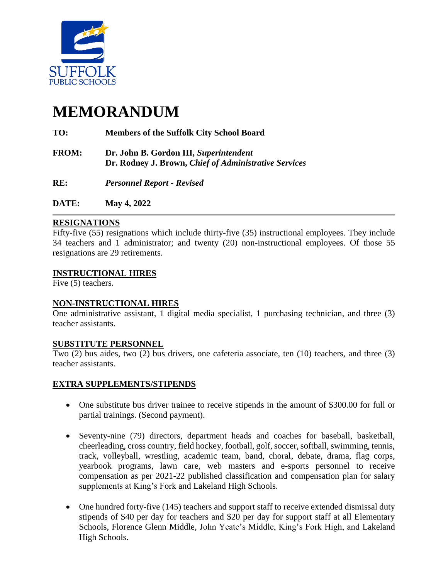

# **MEMORANDUM**

## **TO: Members of the Suffolk City School Board**

- **FROM: Dr. John B. Gordon III,** *Superintendent*  **Dr. Rodney J. Brown,** *Chief of Administrative Services*
- **RE:** *Personnel Report - Revised*
- **DATE: May 4, 2022**

### **RESIGNATIONS**

Fifty-five (55) resignations which include thirty-five (35) instructional employees. They include 34 teachers and 1 administrator; and twenty (20) non-instructional employees. Of those 55 resignations are 29 retirements.

#### **INSTRUCTIONAL HIRES**

Five (5) teachers.

## **NON-INSTRUCTIONAL HIRES**

One administrative assistant, 1 digital media specialist, 1 purchasing technician, and three (3) teacher assistants.

#### **SUBSTITUTE PERSONNEL**

Two (2) bus aides, two (2) bus drivers, one cafeteria associate, ten (10) teachers, and three (3) teacher assistants.

#### **EXTRA SUPPLEMENTS/STIPENDS**

- One substitute bus driver trainee to receive stipends in the amount of \$300.00 for full or partial trainings. (Second payment).
- Seventy-nine (79) directors, department heads and coaches for baseball, basketball, cheerleading, cross country, field hockey, football, golf, soccer, softball, swimming, tennis, track, volleyball, wrestling, academic team, band, choral, debate, drama, flag corps, yearbook programs, lawn care, web masters and e-sports personnel to receive compensation as per 2021-22 published classification and compensation plan for salary supplements at King's Fork and Lakeland High Schools.
- One hundred forty-five (145) teachers and support staff to receive extended dismissal duty stipends of \$40 per day for teachers and \$20 per day for support staff at all Elementary Schools, Florence Glenn Middle, John Yeate's Middle, King's Fork High, and Lakeland High Schools.